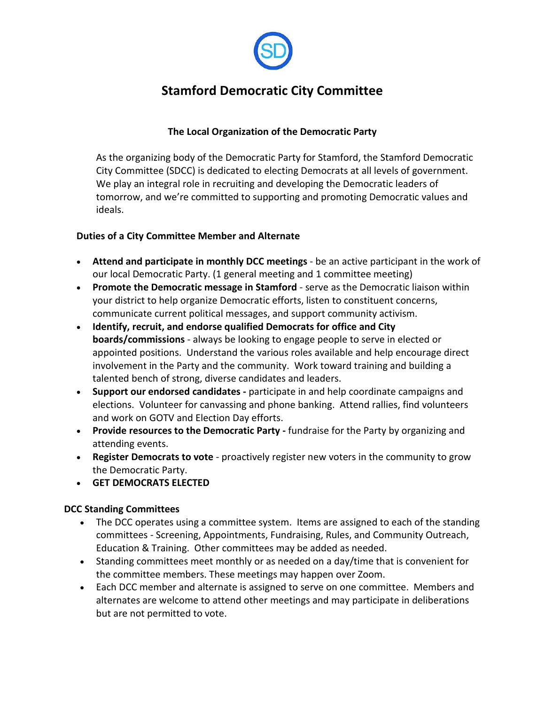

# **Stamford Democratic City Committee**

## **The Local Organization of the Democratic Party**

As the organizing body of the Democratic Party for Stamford, the Stamford Democratic City Committee (SDCC) is dedicated to electing Democrats at all levels of government. We play an integral role in recruiting and developing the Democratic leaders of tomorrow, and we're committed to supporting and promoting Democratic values and ideals.

## **Duties of a City Committee Member and Alternate**

- **Attend and participate in monthly DCC meetings** be an active participant in the work of our local Democratic Party. (1 general meeting and 1 committee meeting)
- **Promote the Democratic message in Stamford** serve as the Democratic liaison within your district to help organize Democratic efforts, listen to constituent concerns, communicate current political messages, and support community activism.
- **Identify, recruit, and endorse qualified Democrats for office and City boards/commissions** - always be looking to engage people to serve in elected or appointed positions. Understand the various roles available and help encourage direct involvement in the Party and the community. Work toward training and building a talented bench of strong, diverse candidates and leaders.
- **Support our endorsed candidates -** participate in and help coordinate campaigns and elections. Volunteer for canvassing and phone banking. Attend rallies, find volunteers and work on GOTV and Election Day efforts.
- **Provide resources to the Democratic Party -** fundraise for the Party by organizing and attending events.
- **Register Democrats to vote** proactively register new voters in the community to grow the Democratic Party.
- **GET DEMOCRATS ELECTED**

## **DCC Standing Committees**

- The DCC operates using a committee system. Items are assigned to each of the standing committees - Screening, Appointments, Fundraising, Rules, and Community Outreach, Education & Training. Other committees may be added as needed.
- Standing committees meet monthly or as needed on a day/time that is convenient for the committee members. These meetings may happen over Zoom.
- Each DCC member and alternate is assigned to serve on one committee. Members and alternates are welcome to attend other meetings and may participate in deliberations but are not permitted to vote.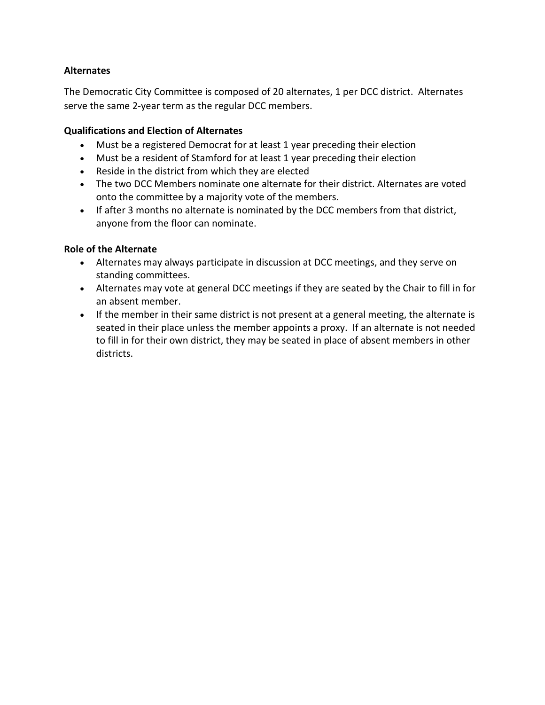## **Alternates**

The Democratic City Committee is composed of 20 alternates, 1 per DCC district. Alternates serve the same 2-year term as the regular DCC members.

## **Qualifications and Election of Alternates**

- Must be a registered Democrat for at least 1 year preceding their election
- Must be a resident of Stamford for at least 1 year preceding their election
- Reside in the district from which they are elected
- The two DCC Members nominate one alternate for their district. Alternates are voted onto the committee by a majority vote of the members.
- If after 3 months no alternate is nominated by the DCC members from that district, anyone from the floor can nominate.

## **Role of the Alternate**

- Alternates may always participate in discussion at DCC meetings, and they serve on standing committees.
- Alternates may vote at general DCC meetings if they are seated by the Chair to fill in for an absent member.
- If the member in their same district is not present at a general meeting, the alternate is seated in their place unless the member appoints a proxy. If an alternate is not needed to fill in for their own district, they may be seated in place of absent members in other districts.